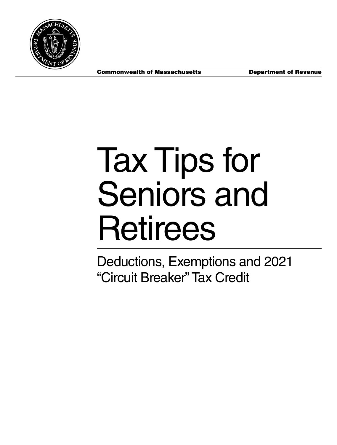

# Tax Tips for Seniors and Retirees

Deductions, Exemptions and 2021 "Circuit Breaker" Tax Credit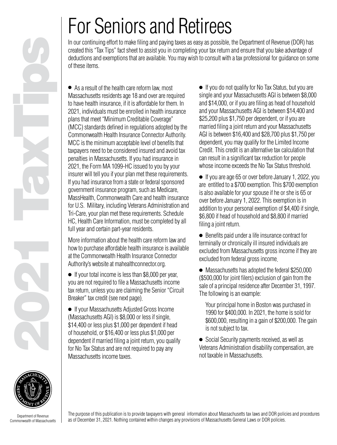# For Seniors and Retirees

In our continuing effort to make filing and paying taxes as easy as possible, the Department of Revenue (DOR) has created this "Tax Tips" fact sheet to assist you in completing your tax return and ensure that you take advantage of deductions and exemptions that are available. You may wish to consult with a tax professional for guidance on some of these items.

● As a result of the health care reform law, most Massachusetts residents age 18 and over are required to have health insurance, if it is affordable for them. In 2021, individuals must be enrolled in health insurance plans that meet "Minimum Creditable Coverage" (MCC) standards defined in regulations adopted by the Commonwealth Health Insurance Connector Authority. MCC is the minimum acceptable level of benefits that taxpayers need to be considered insured and avoid tax penalties in Massachusetts. If you had insurance in 2021, the Form MA 1099-HC issued to you by your insurer will tell you if your plan met these requirements. If you had insurance from a state or federal sponsored government insurance program, such as Medicare, MassHealth, Commonwealth Care and health insurance for U.S. Military, including Veterans Administration and Tri-Care, your plan met these requirements. Schedule HC, Health Care Information, must be completed by all full year and certain part-year residents.

More information about the health care reform law and how to purchase affordable health insurance is available at the Commonwealth Health Insurance Connector Authority's website at mahealthconnector.org.

● If your total income is less than \$8,000 per year, you are not required to file a Massachusetts income tax return, unless you are claiming the Senior "Circuit Breaker" tax credit (see next page).

● If your Massachusetts Adjusted Gross Income (Massachusetts AGI) is \$8,000 or less if single, \$14,400 or less plus \$1,000 per dependent if head of household, or \$16,400 or less plus \$1,000 per dependent if married filing a joint return, you qualify for No Tax Status and are not required to pay any Massachusetts income taxes.

● If you do not qualify for No Tax Status, but you are single and your Massachusetts AGI is between \$8,000 and \$14,000, or if you are filing as head of household and your Massachusetts AGI is between \$14,400 and \$25,200 plus \$1,750 per dependent, or if you are married filing a joint return and your Massachusetts AGI is between \$16,400 and \$28,700 plus \$1,750 per dependent, you may qualify for the Limited Income Credit. This credit is an alternative tax calculation that can result in a significant tax reduction for people whose income exceeds the No Tax Status threshold.

● If you are age 65 or over before January 1, 2022, you are entitled to a \$700 exemption. This \$700 exemption is also available for your spouse if he or she is 65 or over before January 1, 2022. This exemption is in addition to your personal exemption of \$4,400 if single, \$6,800 if head of household and \$8,800 if married filing a joint return.

● Benefits paid under a life insurance contract for terminally or chronically ill insured individuals are excluded from Massachusetts gross income if they are excluded from federal gross income.

● Massachusetts has adopted the federal \$250,000 (\$500,000 for joint filers) exclusion of gain from the sale of a principal residence after December 31, 1997. The following is an example:

Your principal home in Boston was purchased in 1990 for \$400,000. In 2021, the home is sold for \$600,000, resulting in a gain of \$200,000. The gain is not subject to tax.

● Social Security payments received, as well as Veterans Administration disability compensation, are not taxable in Massachusetts.

Department of Revenue Commonwealth of Massachusetts

The purpose of this publication is to provide taxpayers with general information about Massachusetts tax laws and DOR policies and procedures as of December 31, 2021. Nothing contained within changes any provisions of Massachusetts General Laws or DOR policies.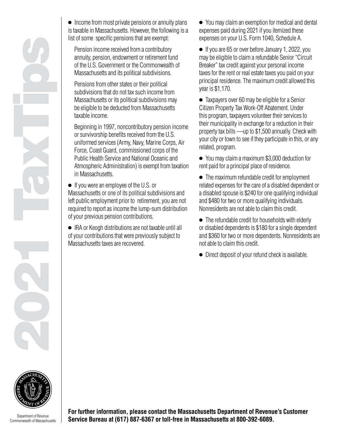● Income from most private pensions or annuity plans is taxable in Massachusetts. However, the following is a list of some specific pensions that are exempt:

Pension income received from a contributory annuity, pension, endowment or retirement fund of the U.S. Government or the Commonwealth of Massachusetts and its political subdivisions.

Pensions from other states or their political subdivisions that do not tax such income from Massachusetts or its political subdivisions may be eligible to be deducted from Massachusetts taxable income.

Beginning in 1997, noncontributory pension income or survivorship benefits received from the U.S. uniformed services (Army, Navy, Marine Corps, Air Force, Coast Guard, commissioned corps of the Public Health Service and National Oceanic and Atmospheric Administration) is exempt from taxation in Massachusetts.

● If you were an employee of the U.S. or Massachusetts or one of its political subdivisions and left public employment prior to retirement, you are not required to report as income the lump-sum distribution of your previous pension contributions.

● IRA or Keogh distributions are not taxable until all of your contributions that were previously subject to Massachusetts taxes are recovered.

● You may claim an exemption for medical and dental expenses paid during 2021 if you itemized these expenses on your U.S. Form 1040, Schedule A.

● If you are 65 or over before January 1, 2022, you may be eligible to claim a refundable Senior "Circuit Breaker" tax credit against your personal income taxes for the rent or real estate taxes you paid on your principal residence. The maximum credit allowed this year is \$1,170.

● Taxpayers over 60 may be eligible for a Senior Citizen Property Tax Work-Off Abatement. Under this program, taxpayers volunteer their services to their municipality in exchange for a reduction in their property tax bills —up to \$1,500 annually. Check with your city or town to see if they participate in this, or any related, program.

● You may claim a maximum \$3,000 deduction for rent paid for a principal place of residence.

● The maximum refundable credit for employment related expenses for the care of a disabled dependent or a disabled spouse is \$240 for one qualifying individual and \$480 for two or more qualifying individuals. Nonresidents are not able to claim this credit.

● The refundable credit for households with elderly or disabled dependents is \$180 for a single dependent and \$360 for two or more dependents. Nonresidents are not able to claim this credit.

● Direct deposit of your refund check is available.



Department of Revenue Commonwealth of Massachusetts **For further information, please contact the Massachusetts Department of Revenue's Customer Service Bureau at (617) 887-6367 or toll-free in Massachusetts at 800-392-6089.**